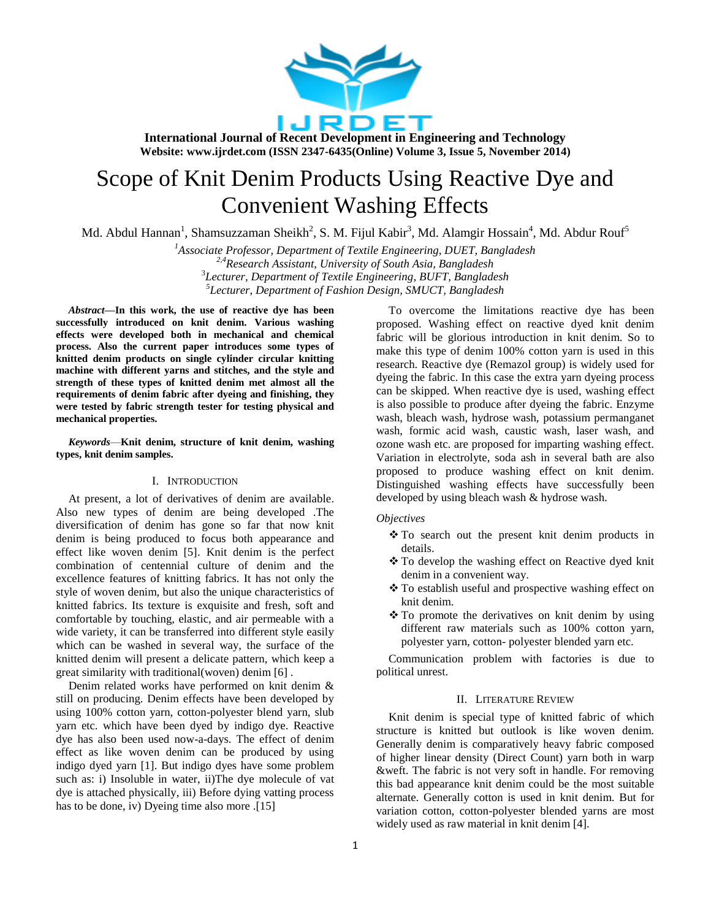

# Scope of Knit Denim Products Using Reactive Dye and Convenient Washing Effects

Md. Abdul Hannan<sup>1</sup>, Shamsuzzaman Sheikh<sup>2</sup>, S. M. Fijul Kabir<sup>3</sup>, Md. Alamgir Hossain<sup>4</sup>, Md. Abdur Rouf<sup>5</sup>

*Associate Professor, Department of Textile Engineering, DUET, Bangladesh 2,4Research Assistant, University of South Asia, Bangladesh Lecturer, Department of Textile Engineering, BUFT, Bangladesh Lecturer, Department of Fashion Design, SMUCT, Bangladesh*

*Abstract***—In this work, the use of reactive dye has been successfully introduced on knit denim. Various washing effects were developed both in mechanical and chemical process. Also the current paper introduces some types of knitted denim products on single cylinder circular knitting machine with different yarns and stitches, and the style and strength of these types of knitted denim met almost all the requirements of denim fabric after dyeing and finishing, they were tested by fabric strength tester for testing physical and mechanical properties.**

*Keywords*—**Knit denim, structure of knit denim, washing types, knit denim samples.**

## I. INTRODUCTION

At present, a lot of derivatives of denim are available. Also new types of denim are being developed .The diversification of denim has gone so far that now knit denim is being produced to focus both appearance and effect like woven denim [5]. Knit denim is the perfect combination of centennial culture of denim and the excellence features of knitting fabrics. It has not only the style of woven denim, but also the unique characteristics of knitted fabrics. Its texture is exquisite and fresh, soft and comfortable by touching, elastic, and air permeable with a wide variety, it can be transferred into different style easily which can be washed in several way, the surface of the knitted denim will present a delicate pattern, which keep a great similarity with traditional(woven) denim [6] .

Denim related works have performed on knit denim & still on producing. Denim effects have been developed by using 100% cotton yarn, cotton-polyester blend yarn, slub yarn etc. which have been dyed by indigo dye. Reactive dye has also been used now-a-days. The effect of denim effect as like woven denim can be produced by using indigo dyed yarn [1]. But indigo dyes have some problem such as: i) Insoluble in water, ii)The dye molecule of vat dye is attached physically, iii) Before dying vatting process has to be done, iv) Dyeing time also more .[15]

To overcome the limitations reactive dye has been proposed. Washing effect on reactive dyed knit denim fabric will be glorious introduction in knit denim. So to make this type of denim 100% cotton yarn is used in this research. Reactive dye (Remazol group) is widely used for dyeing the fabric. In this case the extra yarn dyeing process can be skipped. When reactive dye is used, washing effect is also possible to produce after dyeing the fabric. Enzyme wash, bleach wash, hydrose wash, potassium permanganet wash, formic acid wash, caustic wash, laser wash, and ozone wash etc. are proposed for imparting washing effect. Variation in electrolyte, soda ash in several bath are also proposed to produce washing effect on knit denim. Distinguished washing effects have successfully been developed by using bleach wash & hydrose wash.

#### *Objectives*

- \* To search out the present knit denim products in details.
- To develop the washing effect on Reactive dyed knit denim in a convenient way.
- To establish useful and prospective washing effect on knit denim.
- $\cdot$  To promote the derivatives on knit denim by using different raw materials such as 100% cotton yarn, polyester yarn, cotton- polyester blended yarn etc.

Communication problem with factories is due to political unrest.

## II. LITERATURE REVIEW

Knit denim is special type of knitted fabric of which structure is knitted but outlook is like woven denim. Generally denim is comparatively heavy fabric composed of higher linear density (Direct Count) yarn both in warp &weft. The fabric is not very soft in handle. For removing this bad appearance knit denim could be the most suitable alternate. Generally cotton is used in knit denim. But for variation cotton, cotton-polyester blended yarns are most widely used as raw material in knit denim [4].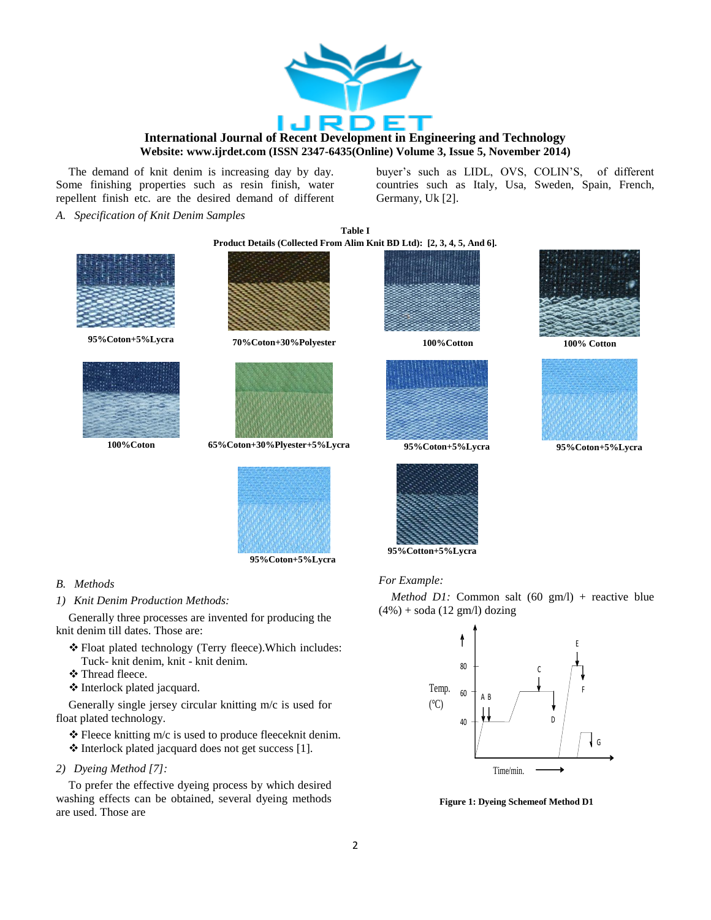

**Table I** 

The demand of knit denim is increasing day by day. Some finishing properties such as resin finish, water repellent finish etc. are the desired demand of different buyer's such as LIDL, OVS, COLIN'S, of different countries such as Italy, Usa, Sweden, Spain, French, Germany, Uk [2].

*A. Specification of Knit Denim Samples*







**95%Coton+5%Lycra 70%Coton+30%Polyester 100%Cotton 100% Cotton**



**100%Coton 65%Coton+30%Plyester+5%Lycra 95%Coton+5%Lycra 95%Coton+5%Lycra**



**95%Coton+5%Lycra**

## *B. Methods*

*1) Knit Denim Production Methods:*

Generally three processes are invented for producing the knit denim till dates. Those are:

- Float plated technology (Terry fleece).Which includes: Tuck- knit denim, knit - knit denim.
- Thread fleece.
- Interlock plated jacquard.

Generally single jersey circular knitting m/c is used for float plated technology.

\* Fleece knitting m/c is used to produce fleeceknit denim.  $\triangle$  Interlock plated jacquard does not get success [1].

*2) Dyeing Method [7]:*

To prefer the effective dyeing process by which desired washing effects can be obtained, several dyeing methods are used. Those are











**95%Cotton+5%Lycra**

## *For Example:*

*Method D1:* Common salt (60 gm/l) + reactive blue  $(4\%) + \text{ soda} (12 \text{ gm/l}) \text{dozing}$ 



**Figure 1: Dyeing Schemeof Method D1**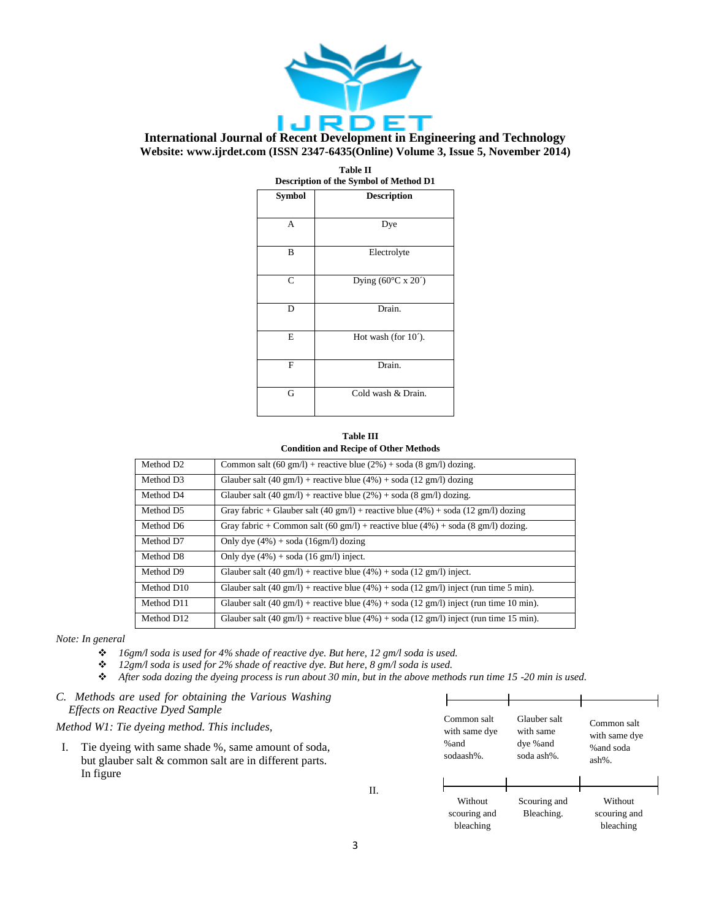

| <b>Table II</b><br>Description of the Symbol of Method D1 |                                       |  |  |  |
|-----------------------------------------------------------|---------------------------------------|--|--|--|
| <b>Symbol</b>                                             | <b>Description</b>                    |  |  |  |
| A                                                         | Dye                                   |  |  |  |
| B                                                         | Electrolyte                           |  |  |  |
| $\mathsf{C}$                                              | Dying $(60^{\circ}$ C x 20 $^{\circ}$ |  |  |  |
| D                                                         | Drain.                                |  |  |  |
| E                                                         | Hot wash (for $10^{\circ}$ ).         |  |  |  |
| F                                                         | Drain.                                |  |  |  |
| G                                                         | Cold wash & Drain.                    |  |  |  |

#### **Table III Condition and Recipe of Other Methods**

| Method D <sub>2</sub> | Common salt $(60 \text{ gm/l})$ + reactive blue $(2\%)$ + soda $(8 \text{ gm/l})$ dozing.                     |
|-----------------------|---------------------------------------------------------------------------------------------------------------|
| Method D3             | Glauber salt (40 gm/l) + reactive blue (4%) + soda (12 gm/l) dozing                                           |
| Method D4             | Glauber salt (40 gm/l) + reactive blue (2%) + soda (8 gm/l) dozing.                                           |
| Method D5             | Gray fabric + Glauber salt (40 gm/l) + reactive blue (4%) + soda (12 gm/l) dozing                             |
| Method D6             | Gray fabric + Common salt (60 gm/l) + reactive blue $(4\%)$ + soda (8 gm/l) dozing.                           |
| Method D7             | Only dye $(4\%)$ + soda $(16gm/l)$ dozing                                                                     |
| Method D8             | Only dye $(4\%)$ + soda $(16 \text{ gm/l})$ inject.                                                           |
| Method D9             | Glauber salt $(40 \text{ gm/l})$ + reactive blue $(4\%)$ + soda $(12 \text{ gm/l})$ inject.                   |
| Method D10            | Glauber salt (40 gm/l) + reactive blue (4%) + soda (12 gm/l) inject (run time 5 min).                         |
| Method D11            | Glauber salt $(40 \text{ gm/l})$ + reactive blue $(4\%)$ + soda $(12 \text{ gm/l})$ inject (run time 10 min). |
| Method D12            | Glauber salt (40 gm/l) + reactive blue (4%) + soda (12 gm/l) inject (run time 15 min).                        |

*Note: In general*

- *16gm/l soda is used for 4% shade of reactive dye. But here, 12 gm/l soda is used.*
- *12gm/l soda is used for 2% shade of reactive dye. But here, 8 gm/l soda is used.*
- *After soda dozing the dyeing process is run about 30 min, but in the above methods run time 15 -20 min is used.*
- *C. Methods are used for obtaining the Various Washing Effects on Reactive Dyed Sample*

*Method W1: Tie dyeing method. This includes,*

I. Tie dyeing with same shade %, same amount of soda, but glauber salt & common salt are in different parts. In figure



II.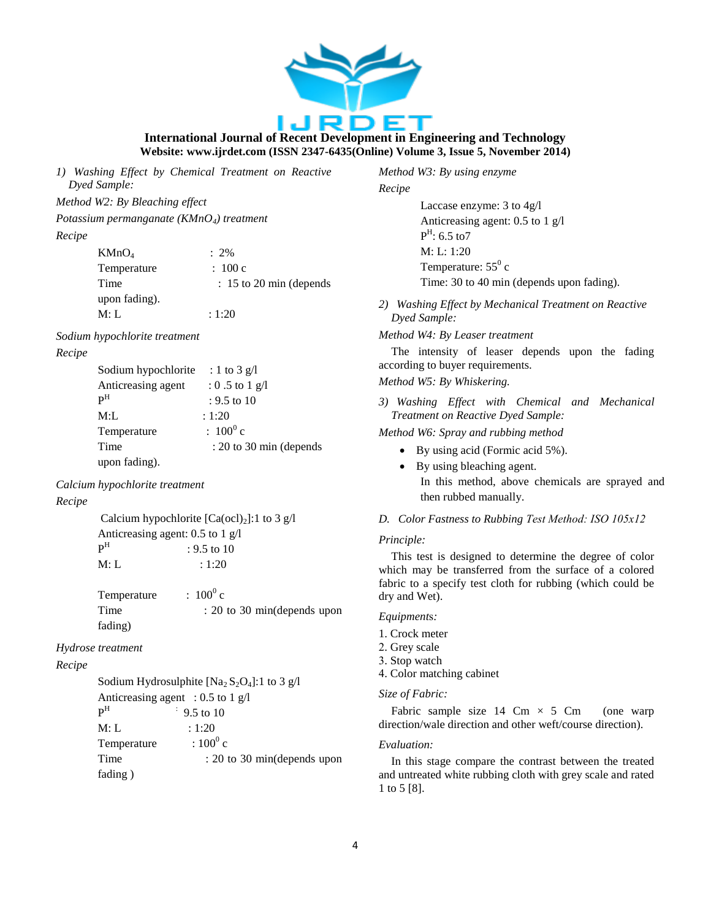

*1) Washing Effect by Chemical Treatment on Reactive Dyed Sample:*

*Method W2: By Bleaching effect* 

*Potassium permanganate (KMnO4) treatment*

#### *Recipe*

| KMnO <sub>4</sub> | $: 2\%$                   |
|-------------------|---------------------------|
| Temperature       | : 100c                    |
| Time              | $: 15$ to 20 min (depends |
| upon fading).     |                           |
| M: L              | : 1:20                    |

#### *Sodium hypochlorite treatment*

## *Recipe*

| Sodium hypochlorite       | : 1 to 3 g/l              |
|---------------------------|---------------------------|
| Anticreasing agent        | $: 0.5$ to 1 g/l          |
| $\mathbf{p}^{\mathrm{H}}$ | : 9.5 to 10               |
| M: L                      | : 1:20                    |
| Temperature               | $: 100^0 c$               |
| Time                      | $: 20$ to 30 min (depends |
| upon fading).             |                           |

## *Calcium hypochlorite treatment*

## *Recipe*

Calcium hypochlorite  $[Ca(oc1)<sub>2</sub>]$ :1 to 3 g/l Anticreasing agent: 0.5 to 1 g/l  $\mathbf{P}^{\mathrm{H}}$  $: 9.5$  to 10  $M: L \t: 1:20$ 

| Temperature | $: 100^0 c$                 |
|-------------|-----------------------------|
| Time        | : 20 to 30 min(depends upon |
| fading)     |                             |

## *Hydrose treatment*

## *Recipe*

Sodium Hydrosulphite  $[Na_2 S_2 O_4]$ :1 to 3 g/l Anticreasing agent : 0.5 to 1 g/l  $P^H$  :  $\div$  9.5 to 10 M: L : 1:20 Temperature  $: 100^0$  c Time : 20 to 30 min(depends upon fading )

*Method W3: By using enzyme*

#### *Recipe*

Laccase enzyme: 3 to 4g/l Anticreasing agent: 0.5 to 1 g/l  $P<sup>H</sup>$ : 6.5 to7 M: L: 1:20 Temperature:  $55^0$  c Time: 30 to 40 min (depends upon fading).

*2) Washing Effect by Mechanical Treatment on Reactive Dyed Sample:*

#### *Method W4: By Leaser treatment*

The intensity of leaser depends upon the fading according to buyer requirements.

## *Method W5: By Whiskering.*

*3) Washing Effect with Chemical and Mechanical Treatment on Reactive Dyed Sample:*

*Method W6: Spray and rubbing method*

- By using acid (Formic acid 5%).
- By using bleaching agent. In this method, above chemicals are sprayed and then rubbed manually.

## *D. Color Fastness to Rubbing Test Method: ISO 105x12*

## *Principle:*

This test is designed to determine the degree of color which may be transferred from the surface of a colored fabric to a specify test cloth for rubbing (which could be dry and Wet).

## *Equipment*s*:*

- 1. Crock meter
- 2. Grey scale
- 3. Stop watch
- 4. Color matching cabinet

## *Size of Fabric:*

Fabric sample size  $14 \text{ Cm} \times 5 \text{ Cm}$  (one warp direction/wale direction and other weft/course direction).

#### *Evaluation:*

In this stage compare the contrast between the treated and untreated white rubbing cloth with grey scale and rated 1 to 5 [8].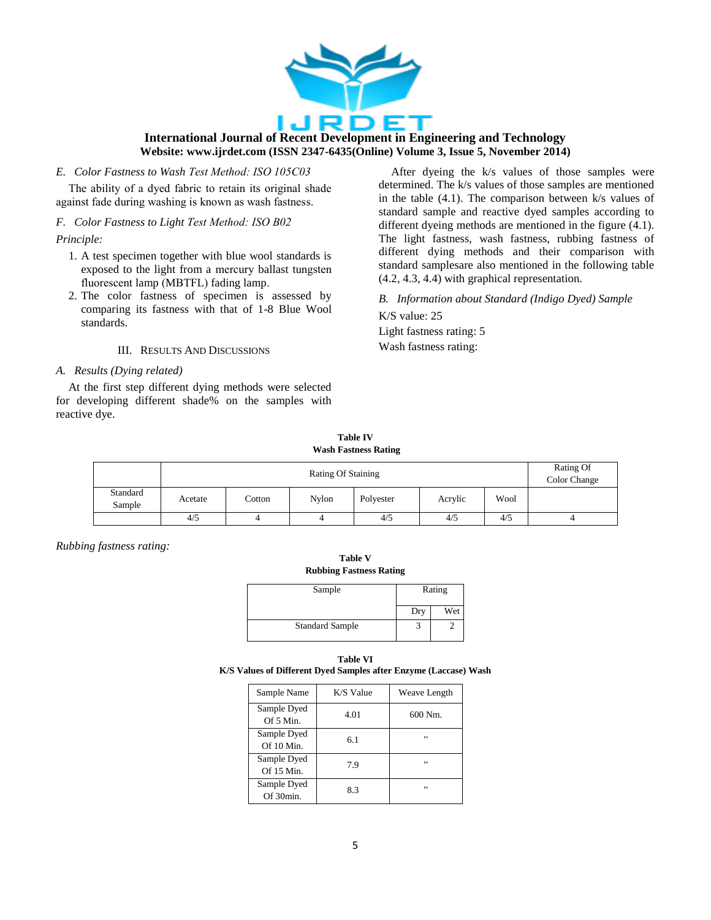

*E. Color Fastness to Wash Test Method: ISO 105C03*

The ability of a dyed fabric to retain its original shade against fade during washing is known as wash fastness.

## *F. Color Fastness to Light Test Method: ISO B02*

*Principle:*

- 1. A test specimen together with blue wool standards is exposed to the light from a mercury ballast tungsten fluorescent lamp (MBTFL) fading lamp.
- 2. The color fastness of specimen is assessed by comparing its fastness with that of 1-8 Blue Wool standards.

## III. RESULTS AND DISCUSSIONS

## *A. Results (Dying related)*

At the first step different dying methods were selected for developing different shade% on the samples with reactive dye.

After dyeing the k/s values of those samples were determined. The k/s values of those samples are mentioned in the table  $(4.1)$ . The comparison between k/s values of standard sample and reactive dyed samples according to different dyeing methods are mentioned in the figure (4.1). The light fastness, wash fastness, rubbing fastness of different dying methods and their comparison with standard samplesare also mentioned in the following table (4.2, 4.3, 4.4) with graphical representation.

*B. Information about Standard (Indigo Dyed) Sample*

K/S value: 25 Light fastness rating: 5 Wash fastness rating:

**Table IV Wash Fastness Rating**

|                    | <b>Rating Of Staining</b> |        |       |           |         | Rating Of<br>Color Change |  |
|--------------------|---------------------------|--------|-------|-----------|---------|---------------------------|--|
| Standard<br>Sample | Acetate                   | Cotton | Nylon | Polyester | Acrylic | Wool                      |  |
|                    | 4/5                       |        | 4     | 4/5       | 4/5     | 4/5                       |  |

*Rubbing fastness rating:*

**Table V Rubbing Fastness Rating**

| Sample                 | Rating |     |  |
|------------------------|--------|-----|--|
|                        | Dry    | Wet |  |
| <b>Standard Sample</b> |        |     |  |

| Table VI                                                         |  |
|------------------------------------------------------------------|--|
| K/S Values of Different Dyed Samples after Enzyme (Laccase) Wash |  |

| Sample Name                 | K/S Value | Weave Length |
|-----------------------------|-----------|--------------|
| Sample Dyed<br>Of 5 Min.    | 4.01      | 600 Nm.      |
| Sample Dyed<br>Of $10$ Min. | 6.1       | , ,          |
| Sample Dyed<br>Of $15$ Min. | 79        | ,,           |
| Sample Dyed<br>Of 30min.    | 83        | , ,          |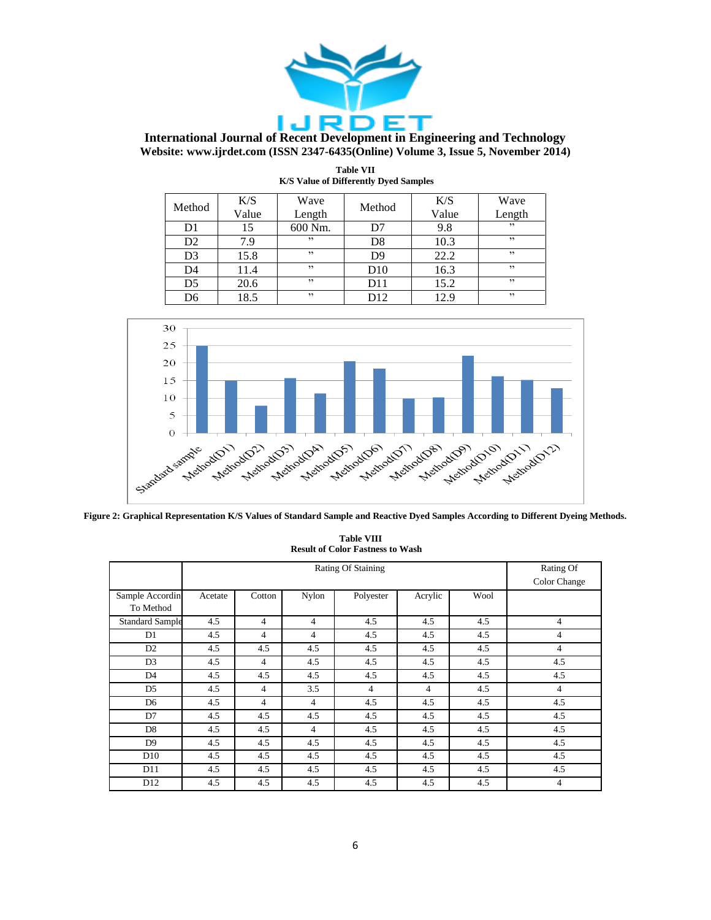

| Method         | K/S<br>Value | Wave<br>Length | Method          | K/S<br>Value | Wave<br>Length |
|----------------|--------------|----------------|-----------------|--------------|----------------|
| D1             | 15           | 600 Nm.        | D7              | 9.8          | , ,            |
| D2             | 7.9          | , ,            | D8              | 10.3         | , ,            |
| D <sub>3</sub> | 15.8         | , ,            | D9              | 22.2         | , ,            |
| D <sub>4</sub> | 11.4         | , ,            | D10             | 16.3         | , ,            |
| D5             | 20.6         | , ,            | D11             | 15.2         | , ,            |
| D6             | 18.5         | , ,            | D <sub>12</sub> | 12.9         | , ,            |

| <b>Table VII</b>                             |
|----------------------------------------------|
| <b>K/S Value of Differently Dyed Samples</b> |



**Figure 2: Graphical Representation K/S Values of Standard Sample and Reactive Dyed Samples According to Different Dyeing Methods.**

#### **Table VIII Result of Color Fastness to Wash**

|                              | Rating Of Staining |                |                |                |                | Rating Of<br>Color Change |                |
|------------------------------|--------------------|----------------|----------------|----------------|----------------|---------------------------|----------------|
| Sample Accordin<br>To Method | Acetate            | Cotton         | Nylon          | Polyester      | Acrylic        | Wool                      |                |
| <b>Standard Sample</b>       | 4.5                | 4              | $\overline{4}$ | 4.5            | 4.5            | 4.5                       | $\overline{4}$ |
| D1                           | 4.5                | 4              | $\overline{4}$ | 4.5            | 4.5            | 4.5                       | $\overline{4}$ |
| D <sub>2</sub>               | 4.5                | 4.5            | 4.5            | 4.5            | 4.5            | 4.5                       | $\overline{4}$ |
| D <sub>3</sub>               | 4.5                | $\overline{4}$ | 4.5            | 4.5            | 4.5            | 4.5                       | 4.5            |
| D <sub>4</sub>               | 4.5                | 4.5            | 4.5            | 4.5            | 4.5            | 4.5                       | 4.5            |
| D <sub>5</sub>               | 4.5                | $\overline{4}$ | 3.5            | $\overline{4}$ | $\overline{4}$ | 4.5                       | $\overline{4}$ |
| D <sub>6</sub>               | 4.5                | $\overline{4}$ | $\overline{4}$ | 4.5            | 4.5            | 4.5                       | 4.5            |
| D7                           | 4.5                | 4.5            | 4.5            | 4.5            | 4.5            | 4.5                       | 4.5            |
| D <sub>8</sub>               | 4.5                | 4.5            | $\overline{4}$ | 4.5            | 4.5            | 4.5                       | 4.5            |
| D <sub>9</sub>               | 4.5                | 4.5            | 4.5            | 4.5            | 4.5            | 4.5                       | 4.5            |
| D10                          | 4.5                | 4.5            | 4.5            | 4.5            | 4.5            | 4.5                       | 4.5            |
| D11                          | 4.5                | 4.5            | 4.5            | 4.5            | 4.5            | 4.5                       | 4.5            |
| D <sub>12</sub>              | 4.5                | 4.5            | 4.5            | 4.5            | 4.5            | 4.5                       | 4              |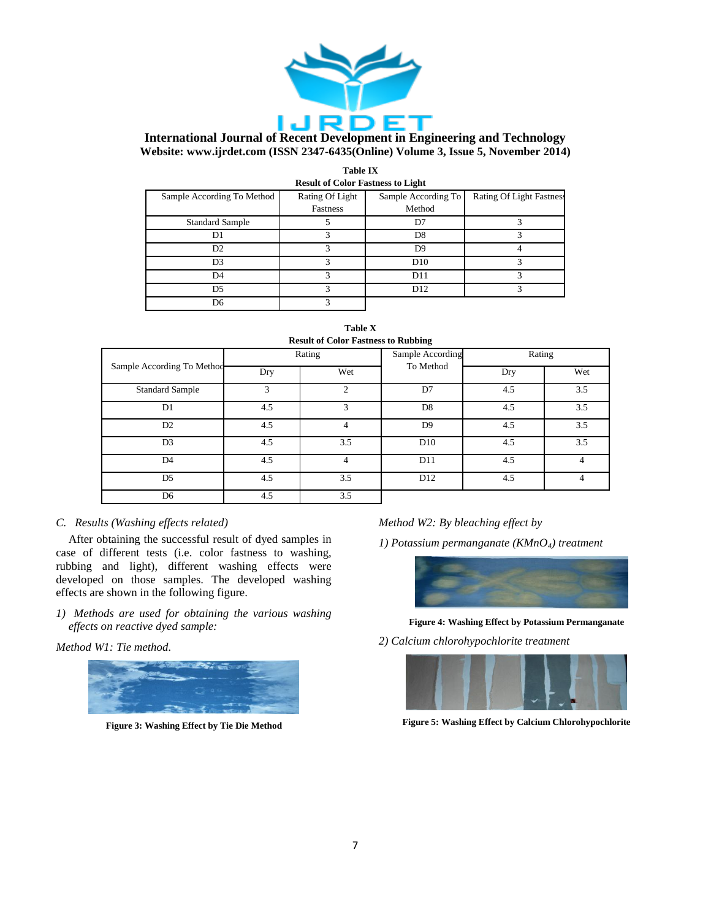

| <b>Table IX</b>                   |  |  |  |  |  |  |
|-----------------------------------|--|--|--|--|--|--|
| Result of Color Fastness to Light |  |  |  |  |  |  |

| result of Color Tustation to Elent |                 |                     |                                 |  |  |  |  |  |
|------------------------------------|-----------------|---------------------|---------------------------------|--|--|--|--|--|
| Sample According To Method         | Rating Of Light | Sample According To | <b>Rating Of Light Fastness</b> |  |  |  |  |  |
|                                    | Fastness        | Method              |                                 |  |  |  |  |  |
| <b>Standard Sample</b>             |                 | D7                  |                                 |  |  |  |  |  |
| D1                                 |                 | D <sub>8</sub>      |                                 |  |  |  |  |  |
| D <sub>2</sub>                     |                 | D9                  |                                 |  |  |  |  |  |
| D <sub>3</sub>                     |                 | D10                 |                                 |  |  |  |  |  |
| D4                                 |                 | D11                 |                                 |  |  |  |  |  |
| D <sub>5</sub>                     |                 | D <sub>12</sub>     |                                 |  |  |  |  |  |
| D6                                 |                 |                     |                                 |  |  |  |  |  |

| <b>Table X</b>                             |  |  |  |  |  |  |  |  |
|--------------------------------------------|--|--|--|--|--|--|--|--|
| <b>Result of Color Fastness to Rubbing</b> |  |  |  |  |  |  |  |  |

| <b>RUSHII</b> OF CORRE FASHIOSS TO <b>RUDDHI</b> E |        |     |                  |        |                |  |  |
|----------------------------------------------------|--------|-----|------------------|--------|----------------|--|--|
| Sample According To Method                         | Rating |     | Sample According | Rating |                |  |  |
|                                                    | Dry    | Wet | To Method        | Dry    | Wet            |  |  |
| <b>Standard Sample</b>                             | 3      | 2   | D7               | 4.5    | 3.5            |  |  |
| D1                                                 | 4.5    | 3   | D <sub>8</sub>   | 4.5    | 3.5            |  |  |
| D <sub>2</sub>                                     | 4.5    | 4   | D <sub>9</sub>   | 4.5    | 3.5            |  |  |
| D <sub>3</sub>                                     | 4.5    | 3.5 | D10              | 4.5    | 3.5            |  |  |
| D <sub>4</sub>                                     | 4.5    | 4   | D11              | 4.5    | $\overline{4}$ |  |  |
| D <sub>5</sub>                                     | 4.5    | 3.5 | D <sub>12</sub>  | 4.5    | 4              |  |  |
| D <sub>6</sub>                                     | 4.5    | 3.5 |                  |        |                |  |  |

## *C. Results (Washing effects related)*

After obtaining the successful result of dyed samples in case of different tests (i.e. color fastness to washing, rubbing and light), different washing effects were developed on those samples. The developed washing effects are shown in the following figure.

*1) Methods are used for obtaining the various washing effects on reactive dyed sample:*

*Method W1: Tie method.*



**Figure 3: Washing Effect by Tie Die Method**

# *Method W2: By bleaching effect by*

*1) Potassium permanganate (KMnO4) treatment*



**Figure 4: Washing Effect by Potassium Permanganate**

*2) Calcium chlorohypochlorite treatment*



**Figure 5: Washing Effect by Calcium Chlorohypochlorite**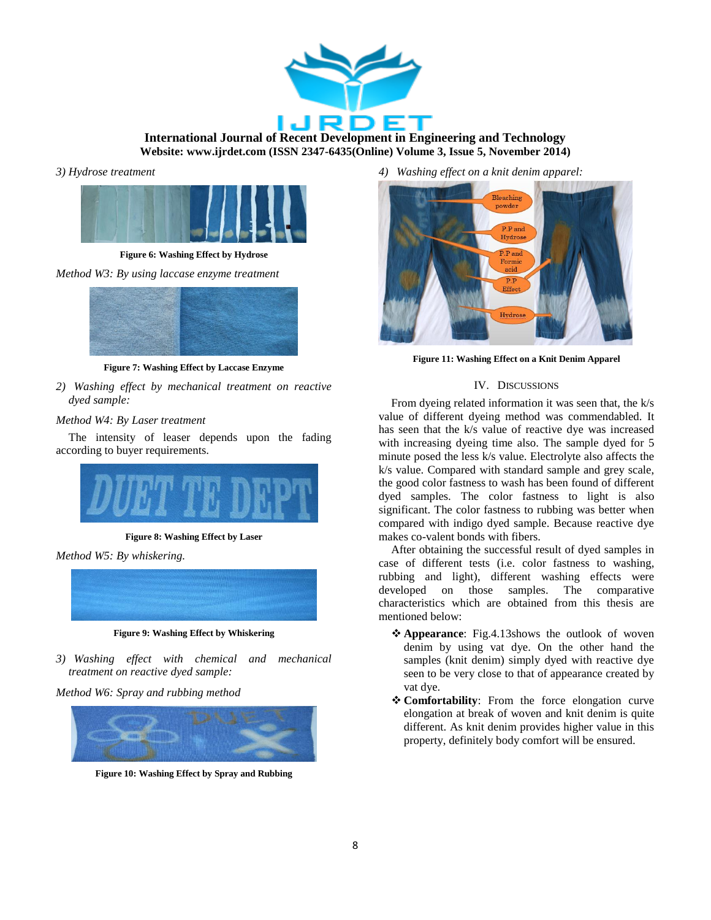

*3) Hydrose treatment* 



**Figure 6: Washing Effect by Hydrose**

*Method W3: By using laccase enzyme treatment*



**Figure 7: Washing Effect by Laccase Enzyme**

*2) Washing effect by mechanical treatment on reactive dyed sample:*

## *Method W4: By Laser treatment*

The intensity of leaser depends upon the fading according to buyer requirements.



**Figure 8: Washing Effect by Laser**

*Method W5: By whiskering.*



**Figure 9: Washing Effect by Whiskering**

*3) Washing effect with chemical and mechanical treatment on reactive dyed sample:*

*Method W6: Spray and rubbing method*



**Figure 10: Washing Effect by Spray and Rubbing**

*4) Washing effect on a knit denim apparel:*



**Figure 11: Washing Effect on a Knit Denim Apparel**

## IV. DISCUSSIONS

From dyeing related information it was seen that, the k/s value of different dyeing method was commendabled. It has seen that the k/s value of reactive dye was increased with increasing dyeing time also. The sample dyed for 5 minute posed the less k/s value. Electrolyte also affects the k/s value. Compared with standard sample and grey scale, the good color fastness to wash has been found of different dyed samples. The color fastness to light is also significant. The color fastness to rubbing was better when compared with indigo dyed sample. Because reactive dye makes co-valent bonds with fibers.

After obtaining the successful result of dyed samples in case of different tests (i.e. color fastness to washing, rubbing and light), different washing effects were developed on those samples. The comparative characteristics which are obtained from this thesis are mentioned below:

- **Appearance**: Fig.4.13shows the outlook of woven denim by using vat dye. On the other hand the samples (knit denim) simply dyed with reactive dye seen to be very close to that of appearance created by vat dye.
- **Comfortability**: From the force elongation curve elongation at break of woven and knit denim is quite different. As knit denim provides higher value in this property, definitely body comfort will be ensured.